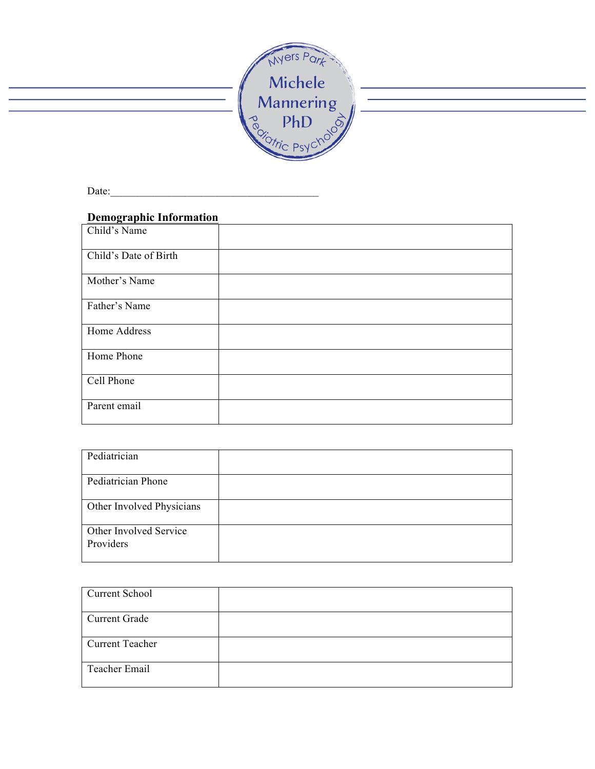

Date:\_\_\_\_\_\_\_\_\_\_\_\_\_\_\_\_\_\_\_\_\_\_\_\_\_\_\_\_\_\_\_\_\_\_\_\_\_\_\_

#### **Demographic Information**

| Child's Name          |  |
|-----------------------|--|
| Child's Date of Birth |  |
| Mother's Name         |  |
| Father's Name         |  |
| Home Address          |  |
| Home Phone            |  |
| Cell Phone            |  |
| Parent email          |  |

| Pediatrician                        |  |
|-------------------------------------|--|
| Pediatrician Phone                  |  |
| Other Involved Physicians           |  |
| Other Involved Service<br>Providers |  |

| <b>Current School</b>  |  |
|------------------------|--|
| <b>Current Grade</b>   |  |
|                        |  |
| <b>Current Teacher</b> |  |
|                        |  |
| Teacher Email          |  |
|                        |  |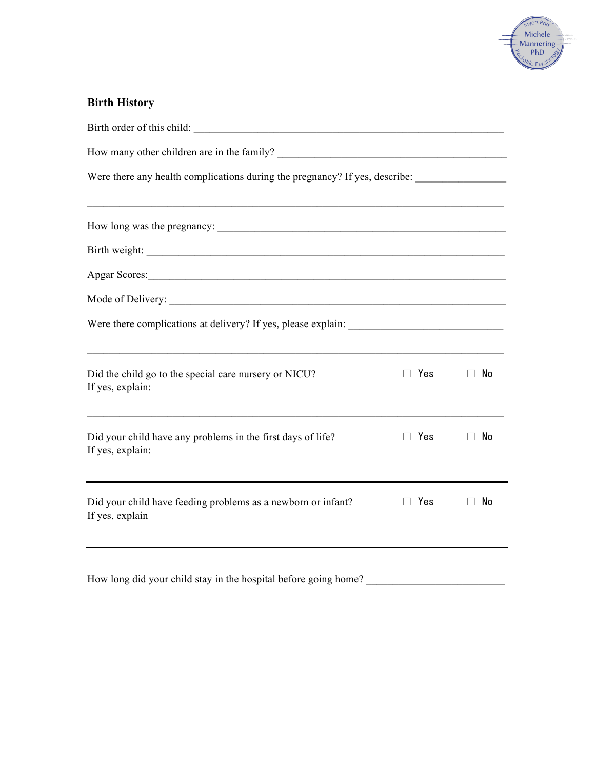

#### **Birth History**

| Birth order of this child:                                                                                                                                                                                                     |            |               |  |  |
|--------------------------------------------------------------------------------------------------------------------------------------------------------------------------------------------------------------------------------|------------|---------------|--|--|
|                                                                                                                                                                                                                                |            |               |  |  |
| Were there any health complications during the pregnancy? If yes, describe: ________________________                                                                                                                           |            |               |  |  |
|                                                                                                                                                                                                                                |            |               |  |  |
|                                                                                                                                                                                                                                |            |               |  |  |
| Apgar Scores: 1988 and 2008 and 2008 and 2008 and 2008 and 2008 and 2008 and 2008 and 2008 and 2008 and 2008 and 2008 and 2008 and 2008 and 2008 and 2008 and 2008 and 2008 and 2008 and 2008 and 2008 and 2008 and 2008 and 2 |            |               |  |  |
|                                                                                                                                                                                                                                |            |               |  |  |
|                                                                                                                                                                                                                                |            |               |  |  |
| Did the child go to the special care nursery or NICU?<br>If yes, explain:                                                                                                                                                      | $\Box$ Yes | No<br>$\perp$ |  |  |
| Did your child have any problems in the first days of life?<br>If yes, explain:                                                                                                                                                | $\Box$ Yes | No<br>- 1     |  |  |
| Did your child have feeding problems as a newborn or infant?<br>If yes, explain                                                                                                                                                | $\Box$ Yes | No            |  |  |
|                                                                                                                                                                                                                                |            |               |  |  |

How long did your child stay in the hospital before going home? \_\_\_\_\_\_\_\_\_\_\_\_\_\_\_\_\_\_\_\_\_\_\_\_\_\_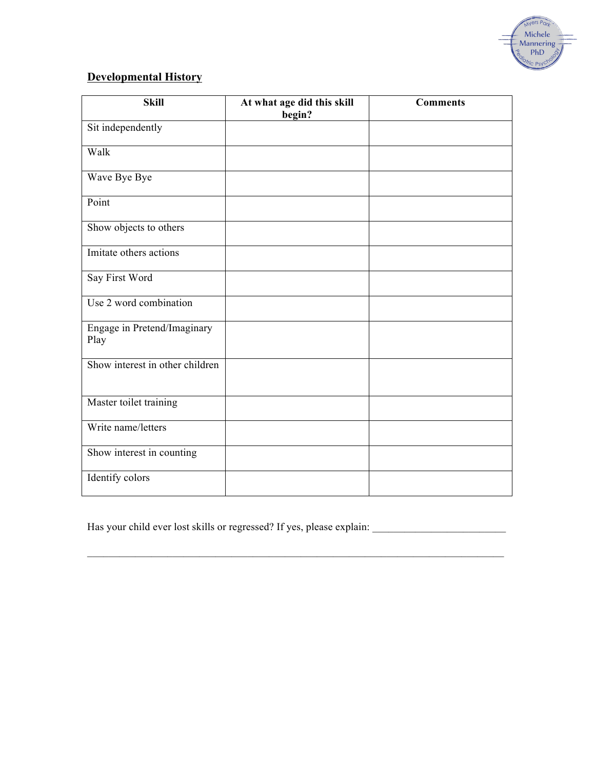

# **Developmental History**

| <b>Skill</b>                        | At what age did this skill<br>begin? | <b>Comments</b> |
|-------------------------------------|--------------------------------------|-----------------|
| Sit independently                   |                                      |                 |
| Walk                                |                                      |                 |
| Wave Bye Bye                        |                                      |                 |
| Point                               |                                      |                 |
| Show objects to others              |                                      |                 |
| Imitate others actions              |                                      |                 |
| Say First Word                      |                                      |                 |
| Use 2 word combination              |                                      |                 |
| Engage in Pretend/Imaginary<br>Play |                                      |                 |
| Show interest in other children     |                                      |                 |
| Master toilet training              |                                      |                 |
| Write name/letters                  |                                      |                 |
| Show interest in counting           |                                      |                 |
| Identify colors                     |                                      |                 |

Has your child ever lost skills or regressed? If yes, please explain: \_\_\_\_\_\_\_\_\_\_\_\_\_\_\_\_\_\_\_\_\_\_\_\_\_

 $\mathcal{L}_\text{max}$  and  $\mathcal{L}_\text{max}$  and  $\mathcal{L}_\text{max}$  and  $\mathcal{L}_\text{max}$  and  $\mathcal{L}_\text{max}$  and  $\mathcal{L}_\text{max}$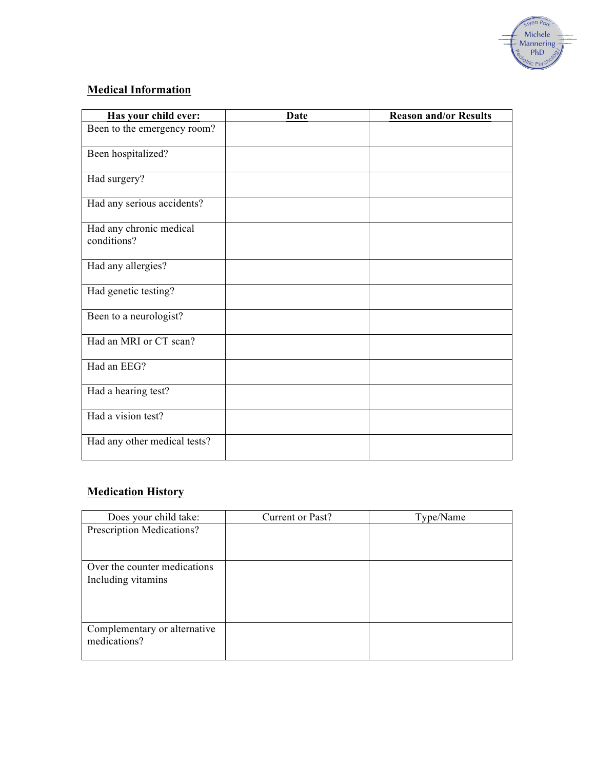

# **Medical Information**

| Has your child ever:                   | <b>Date</b> | <b>Reason and/or Results</b> |
|----------------------------------------|-------------|------------------------------|
| Been to the emergency room?            |             |                              |
| Been hospitalized?                     |             |                              |
| Had surgery?                           |             |                              |
| Had any serious accidents?             |             |                              |
| Had any chronic medical<br>conditions? |             |                              |
| Had any allergies?                     |             |                              |
| Had genetic testing?                   |             |                              |
| Been to a neurologist?                 |             |                              |
| Had an MRI or CT scan?                 |             |                              |
| Had an EEG?                            |             |                              |
| Had a hearing test?                    |             |                              |
| Had a vision test?                     |             |                              |
| Had any other medical tests?           |             |                              |

#### **Medication History**

| Does your child take:        | Current or Past? | Type/Name |
|------------------------------|------------------|-----------|
| Prescription Medications?    |                  |           |
|                              |                  |           |
|                              |                  |           |
| Over the counter medications |                  |           |
| Including vitamins           |                  |           |
|                              |                  |           |
|                              |                  |           |
|                              |                  |           |
| Complementary or alternative |                  |           |
| medications?                 |                  |           |
|                              |                  |           |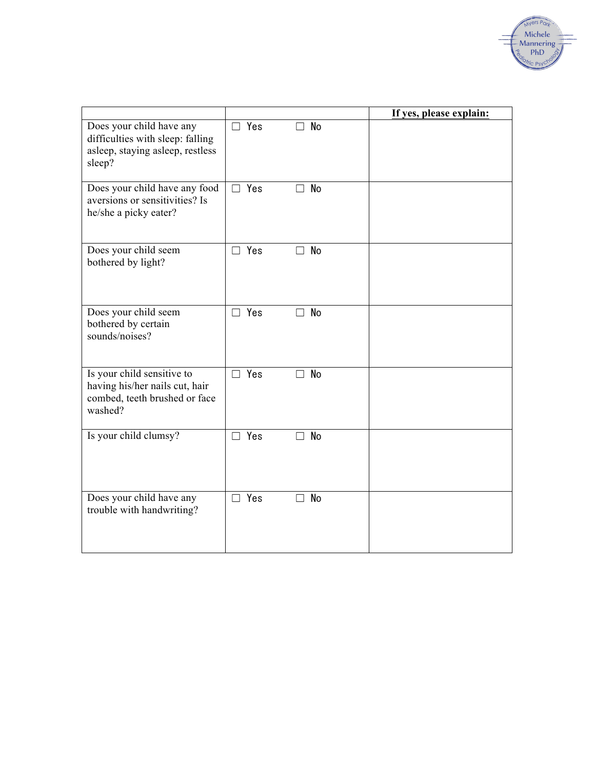

|                                                                                                            |            |                     | If yes, please explain: |
|------------------------------------------------------------------------------------------------------------|------------|---------------------|-------------------------|
| Does your child have any<br>difficulties with sleep: falling<br>asleep, staying asleep, restless<br>sleep? | $\Box$ Yes | No<br>$\Box$        |                         |
| Does your child have any food<br>aversions or sensitivities? Is<br>he/she a picky eater?                   | $\Box$ Yes | <b>No</b>           |                         |
| Does your child seem<br>bothered by light?                                                                 | $\Box$ Yes | <b>No</b><br>П      |                         |
| Does your child seem<br>bothered by certain<br>sounds/noises?                                              | $\Box$ Yes | <b>No</b>           |                         |
| Is your child sensitive to<br>having his/her nails cut, hair<br>combed, teeth brushed or face<br>washed?   | $\Box$ Yes | $\Box$ No           |                         |
| Is your child clumsy?                                                                                      | $\Box$ Yes | <b>No</b><br>$\Box$ |                         |
| Does your child have any<br>trouble with handwriting?                                                      | $\Box$ Yes | No<br>$\Box$        |                         |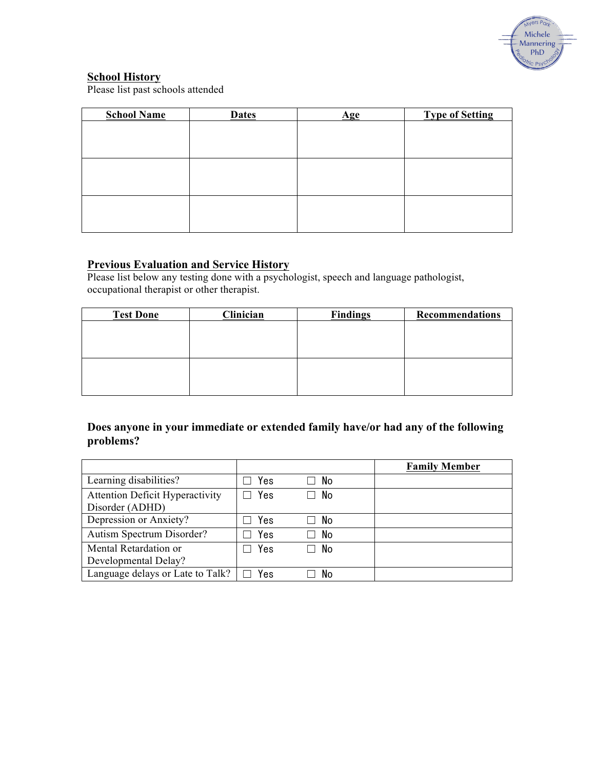

## **School History**

Please list past schools attended

| <b>School Name</b> | <b>Dates</b> | <u>Age</u> | <b>Type of Setting</b> |
|--------------------|--------------|------------|------------------------|
|                    |              |            |                        |
|                    |              |            |                        |
|                    |              |            |                        |
|                    |              |            |                        |
|                    |              |            |                        |
|                    |              |            |                        |
|                    |              |            |                        |
|                    |              |            |                        |

#### **Previous Evaluation and Service History**

Please list below any testing done with a psychologist, speech and language pathologist, occupational therapist or other therapist.

| <b>Test Done</b> | Clinician | <b>Findings</b> | <b>Recommendations</b> |
|------------------|-----------|-----------------|------------------------|
|                  |           |                 |                        |
|                  |           |                 |                        |
|                  |           |                 |                        |
|                  |           |                 |                        |
|                  |           |                 |                        |
|                  |           |                 |                        |

#### **Does anyone in your immediate or extended family have/or had any of the following problems?**

|                                        |     |           | <b>Family Member</b> |
|----------------------------------------|-----|-----------|----------------------|
| Learning disabilities?                 | Yes | No        |                      |
| <b>Attention Deficit Hyperactivity</b> | Yes | No        |                      |
| Disorder (ADHD)                        |     |           |                      |
| Depression or Anxiety?                 | Yes | No        |                      |
| Autism Spectrum Disorder?              | Yes | No        |                      |
| Mental Retardation or                  | Yes | <b>No</b> |                      |
| Developmental Delay?                   |     |           |                      |
| Language delays or Late to Talk?       | Yes | No        |                      |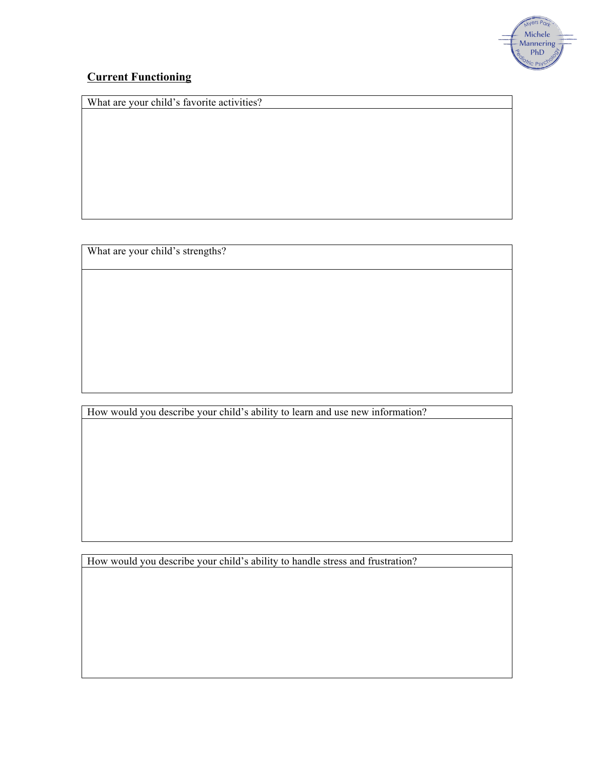

## **Current Functioning**

What are your child's favorite activities?

What are your child's strengths?

How would you describe your child's ability to learn and use new information?

How would you describe your child's ability to handle stress and frustration?